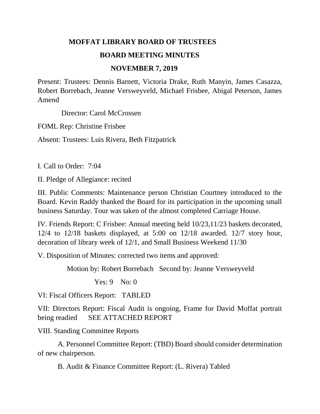## **MOFFAT LIBRARY BOARD OF TRUSTEES**

## **BOARD MEETING MINUTES**

## **NOVEMBER 7, 2019**

Present: Trustees: Dennis Barnett, Victoria Drake, Ruth Manyin, James Casazza, Robert Borrebach, Jeanne Versweyveld, Michael Frisbee, Abigal Peterson, James Amend

Director: Carol McCrossen

FOML Rep: Christine Frisbee

Absent: Trustees: Luis Rivera, Beth Fitzpatrick

I. Call to Order: 7:04

II. Pledge of Allegiance: recited

III. Public Comments: Maintenance person Christian Courtney introduced to the Board. Kevin Raddy thanked the Board for its participation in the upcoming small business Saturday. Tour was taken of the almost completed Carriage House.

IV. Friends Report: C Frisbee: Annual meeting held 10/23,11/23 baskets decorated, 12/4 to 12/18 baskets displayed, at 5:00 on 12/18 awarded. 12/7 story hour, decoration of library week of 12/1, and Small Business Weekend 11/30

V. Disposition of Minutes: corrected two items and approved:

Motion by: Robert Borrebach Second by: Jeanne Versweyveld

Yes: 9 No: 0

VI: Fiscal Officers Report: TABLED

VII: Directors Report: Fiscal Audit is ongoing, Frame for David Moffat portrait being readied SEE ATTACHED REPORT

VIII. Standing Committee Reports

 A. Personnel Committee Report: (TBD) Board should consider determination of new chairperson.

B. Audit & Finance Committee Report: (L. Rivera) Tabled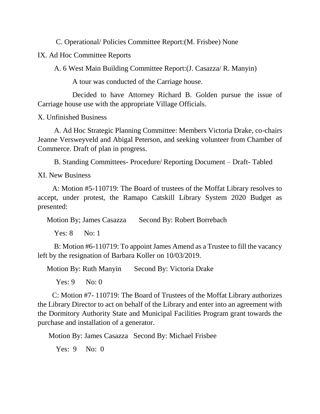C. Operational/ Policies Committee Report:(M. Frisbee) None

IX. Ad Hoc Committee Reports

A. 6 West Main Building Committee Report:(J. Casazza/ R. Manyin)

A tour was conducted of the Carriage house.

 Decided to have Attorney Richard B. Golden pursue the issue of Carriage house use with the appropriate Village Officials.

X. Unfinished Business

 A. Ad Hoc Strategic Planning Committee: Members Victoria Drake, co-chairs Jeanne Versweyveld and Abigal Peterson, and seeking volunteer from Chamber of Commerce. Draft of plan in progress.

B. Standing Committees- Procedure/ Reporting Document – Draft- Tabled

XI. New Business

 A: Motion #5-110719: The Board of trustees of the Moffat Library resolves to accept, under protest, the Ramapo Catskill Library System 2020 Budget as presented:

Motion By; James Casazza Second By: Robert Borrebach

Yes: 8 No: 1

 B: Motion #6-110719: To appoint James Amend as a Trustee to fill the vacancy left by the resignation of Barbara Koller on 10/03/2019.

Motion By: Ruth Manyin Second By: Victoria Drake

Yes: 9 No: 0

 C: Motion #7- 110719: The Board of Trustees of the Moffat Library authorizes the Library Director to act on behalf of the Library and enter into an agreement with the Dormitory Authority State and Municipal Facilities Program grant towards the purchase and installation of a generator.

Motion By: James Casazza Second By: Michael Frisbee

Yes: 9 No: 0